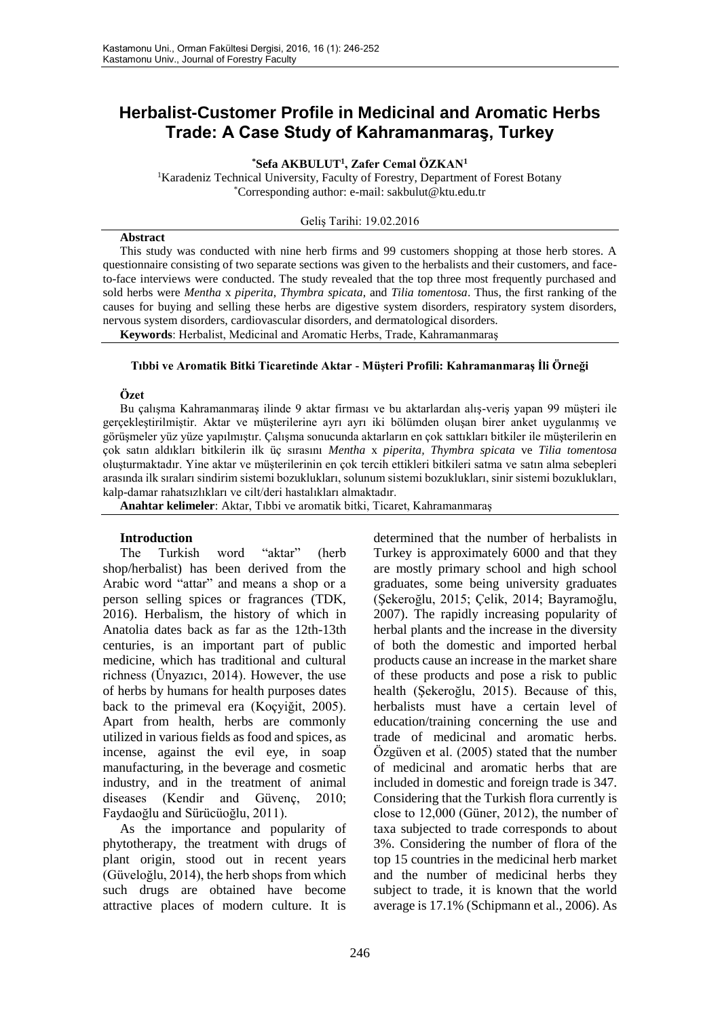# **Herbalist-Customer Profile in Medicinal and Aromatic Herbs Trade: A Case Study of Kahramanmaraş, Turkey**

#### **\*Sefa AKBULUT<sup>1</sup> , Zafer Cemal ÖZKAN<sup>1</sup>**

<sup>1</sup>Karadeniz Technical University, Faculty of Forestry, Department of Forest Botany \*Corresponding author: e-mail: sakbulut@ktu.edu.tr

Geliş Tarihi: 19.02.2016

#### **Abstract**

This study was conducted with nine herb firms and 99 customers shopping at those herb stores. A questionnaire consisting of two separate sections was given to the herbalists and their customers, and faceto-face interviews were conducted. The study revealed that the top three most frequently purchased and sold herbs were *Mentha* x *piperita*, *Thymbra spicata*, and *Tilia tomentosa*. Thus, the first ranking of the causes for buying and selling these herbs are digestive system disorders, respiratory system disorders, nervous system disorders, cardiovascular disorders, and dermatological disorders.

**Keywords**: Herbalist, Medicinal and Aromatic Herbs, Trade, Kahramanmaraş

#### **Tıbbi ve Aromatik Bitki Ticaretinde Aktar - Müşteri Profili: Kahramanmaraş İli Örneği**

#### **Özet**

Bu çalışma Kahramanmaraş ilinde 9 aktar firması ve bu aktarlardan alış-veriş yapan 99 müşteri ile gerçekleştirilmiştir. Aktar ve müşterilerine ayrı ayrı iki bölümden oluşan birer anket uygulanmış ve görüşmeler yüz yüze yapılmıştır. Çalışma sonucunda aktarların en çok sattıkları bitkiler ile müşterilerin en çok satın aldıkları bitkilerin ilk üç sırasını *Mentha* x *piperita, Thymbra spicata* ve *Tilia tomentosa* oluşturmaktadır. Yine aktar ve müşterilerinin en çok tercih ettikleri bitkileri satma ve satın alma sebepleri arasında ilk sıraları sindirim sistemi bozuklukları, solunum sistemi bozuklukları, sinir sistemi bozuklukları, kalp-damar rahatsızlıkları ve cilt/deri hastalıkları almaktadır.

**Anahtar kelimeler**: Aktar, Tıbbi ve aromatik bitki, Ticaret, Kahramanmaraş

## **Introduction**

The Turkish word "aktar" (herb shop/herbalist) has been derived from the Arabic word "attar" and means a shop or a person selling spices or fragrances (TDK, 2016). Herbalism, the history of which in Anatolia dates back as far as the 12th-13th centuries, is an important part of public medicine, which has traditional and cultural richness (Ünyazıcı, 2014). However, the use of herbs by humans for health purposes dates back to the primeval era (Koçyiğit, 2005). Apart from health, herbs are commonly utilized in various fields as food and spices, as incense, against the evil eye, in soap manufacturing, in the beverage and cosmetic industry, and in the treatment of animal diseases (Kendir and Güvenç, 2010; Faydaoğlu and Sürücüoğlu, 2011).

As the importance and popularity of phytotherapy, the treatment with drugs of plant origin, stood out in recent years (Güveloğlu, 2014), the herb shops from which such drugs are obtained have become attractive places of modern culture. It is

determined that the number of herbalists in Turkey is approximately 6000 and that they are mostly primary school and high school graduates, some being university graduates (Şekeroğlu, 2015; Çelik, 2014; Bayramoğlu, 2007). The rapidly increasing popularity of herbal plants and the increase in the diversity of both the domestic and imported herbal products cause an increase in the market share of these products and pose a risk to public health (Şekeroğlu, 2015). Because of this, herbalists must have a certain level of education/training concerning the use and trade of medicinal and aromatic herbs. Özgüven et al. (2005) stated that the number of medicinal and aromatic herbs that are included in domestic and foreign trade is 347. Considering that the Turkish flora currently is close to 12,000 (Güner, 2012), the number of taxa subjected to trade corresponds to about 3%. Considering the number of flora of the top 15 countries in the medicinal herb market and the number of medicinal herbs they subject to trade, it is known that the world average is 17.1% (Schipmann et al., 2006). As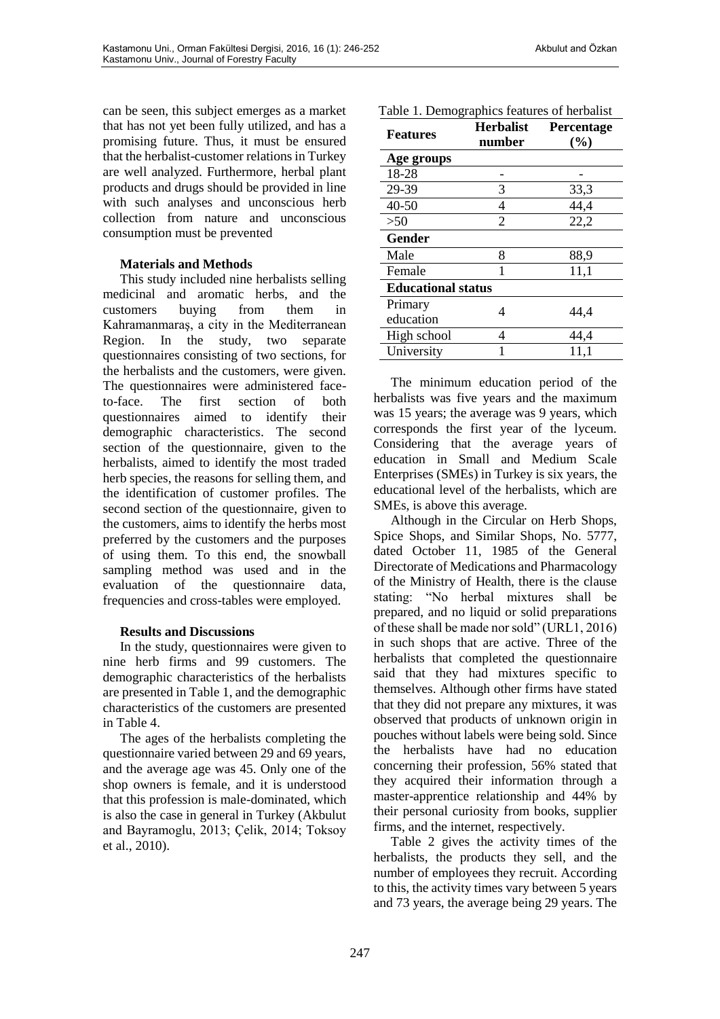can be seen, this subject emerges as a market that has not yet been fully utilized, and has a promising future. Thus, it must be ensured that the herbalist-customer relations in Turkey are well analyzed. Furthermore, herbal plant products and drugs should be provided in line with such analyses and unconscious herb collection from nature and unconscious consumption must be prevented

## **Materials and Methods**

This study included nine herbalists selling medicinal and aromatic herbs, and the customers buying from them in Kahramanmaraş, a city in the Mediterranean Region. In the study, two separate questionnaires consisting of two sections, for the herbalists and the customers, were given. The questionnaires were administered faceto-face. The first section of both questionnaires aimed to identify their demographic characteristics. The second section of the questionnaire, given to the herbalists, aimed to identify the most traded herb species, the reasons for selling them, and the identification of customer profiles. The second section of the questionnaire, given to the customers, aims to identify the herbs most preferred by the customers and the purposes of using them. To this end, the snowball sampling method was used and in the evaluation of the questionnaire data, frequencies and cross-tables were employed.

## **Results and Discussions**

In the study, questionnaires were given to nine herb firms and 99 customers. The demographic characteristics of the herbalists are presented in Table 1, and the demographic characteristics of the customers are presented in Table 4.

The ages of the herbalists completing the questionnaire varied between 29 and 69 years, and the average age was 45. Only one of the shop owners is female, and it is understood that this profession is male-dominated, which is also the case in general in Turkey (Akbulut and Bayramoglu, 2013; Çelik, 2014; Toksoy et al., 2010).

| <b>Features</b>           | <b>Herbalist</b><br>number | Percentage<br>(%) |  |
|---------------------------|----------------------------|-------------------|--|
| Age groups                |                            |                   |  |
| 18-28                     |                            |                   |  |
| 29-39                     | 3                          | 33,3              |  |
| 40-50                     | 4                          | 44,4              |  |
| >50                       | 2                          | 22,2              |  |
| Gender                    |                            |                   |  |
| Male                      | 8                          | 88,9              |  |
| Female                    |                            | 11,1              |  |
| <b>Educational status</b> |                            |                   |  |
| Primary                   | 4                          | 44,4              |  |
| education                 |                            |                   |  |
| High school               | 4                          | 44,4              |  |
| University                |                            | 11,1              |  |

The minimum education period of the herbalists was five years and the maximum was 15 years; the average was 9 years, which corresponds the first year of the lyceum. Considering that the average years of education in Small and Medium Scale Enterprises (SMEs) in Turkey is six years, the educational level of the herbalists, which are SMEs, is above this average.

Although in the Circular on Herb Shops, Spice Shops, and Similar Shops, No. 5777, dated October 11, 1985 of the General Directorate of Medications and Pharmacology of the Ministry of Health, there is the clause stating: "No herbal mixtures shall be prepared, and no liquid or solid preparations of these shall be made nor sold" (URL1, 2016) in such shops that are active. Three of the herbalists that completed the questionnaire said that they had mixtures specific to themselves. Although other firms have stated that they did not prepare any mixtures, it was observed that products of unknown origin in pouches without labels were being sold. Since the herbalists have had no education concerning their profession, 56% stated that they acquired their information through a master-apprentice relationship and 44% by their personal curiosity from books, supplier firms, and the internet, respectively.

Table 2 gives the activity times of the herbalists, the products they sell, and the number of employees they recruit. According to this, the activity times vary between 5 years and 73 years, the average being 29 years. The

**Features Herbalist**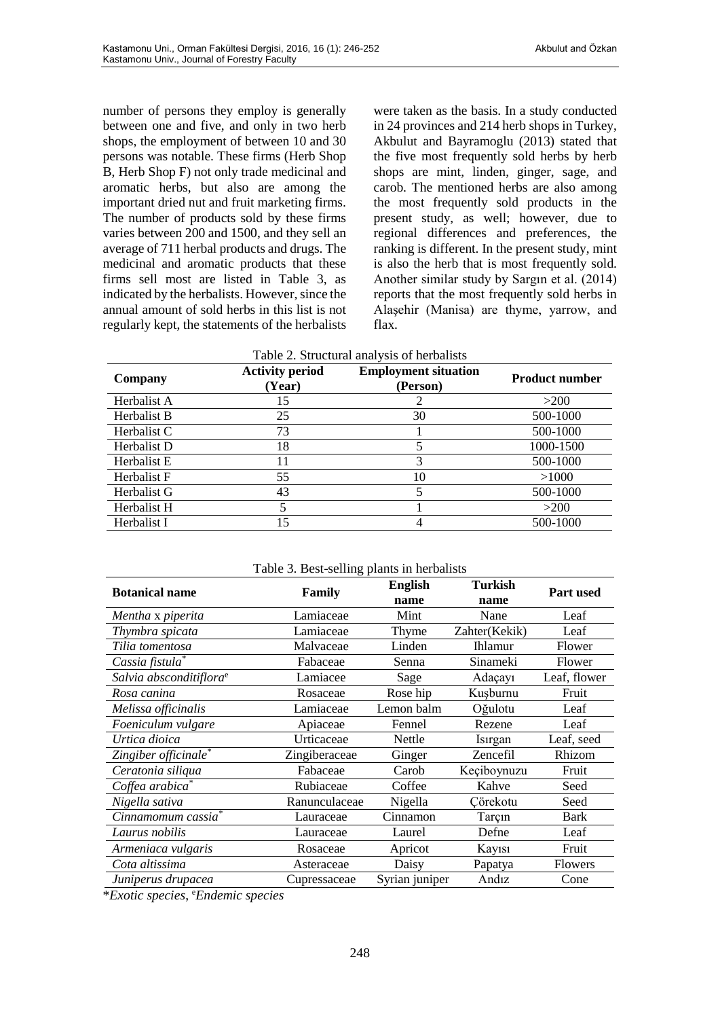number of persons they employ is generally between one and five, and only in two herb shops, the employment of between 10 and 30 persons was notable. These firms (Herb Shop B, Herb Shop F) not only trade medicinal and aromatic herbs, but also are among the important dried nut and fruit marketing firms. The number of products sold by these firms varies between 200 and 1500, and they sell an average of 711 herbal products and drugs. The medicinal and aromatic products that these firms sell most are listed in Table 3, as indicated by the herbalists. However, since the annual amount of sold herbs in this list is not regularly kept, the statements of the herbalists

were taken as the basis. In a study conducted in 24 provinces and 214 herb shops in Turkey, Akbulut and Bayramoglu (2013) stated that the five most frequently sold herbs by herb shops are mint, linden, ginger, sage, and carob. The mentioned herbs are also among the most frequently sold products in the present study, as well; however, due to regional differences and preferences, the ranking is different. In the present study, mint is also the herb that is most frequently sold. Another similar study by Sargın et al. (2014) reports that the most frequently sold herbs in Alaşehir (Manisa) are thyme, yarrow, and flax.

| Table 2. Structural analysis of herbalists |                                  |                                         |                       |
|--------------------------------------------|----------------------------------|-----------------------------------------|-----------------------|
| Company                                    | <b>Activity period</b><br>(Year) | <b>Employment situation</b><br>(Person) | <b>Product number</b> |
| Herbalist A                                | 15                               |                                         | >200                  |
| Herbalist B                                | 25                               | 30                                      | 500-1000              |
| Herbalist C                                | 73                               |                                         | 500-1000              |
| Herbalist D                                | 18                               |                                         | 1000-1500             |
| Herbalist E                                | 11                               | 3                                       | 500-1000              |
| Herbalist F                                | 55                               | 10                                      | >1000                 |
| Herbalist G                                | 43                               | 5                                       | 500-1000              |
| Herbalist H                                | 5.                               |                                         | >200                  |
| Herbalist I                                | 15                               |                                         | 500-1000              |

| Table 5. Best-seming plants in neroalists<br><b>English</b><br>Turkish |               |                |                |                  |
|------------------------------------------------------------------------|---------------|----------------|----------------|------------------|
| <b>Botanical name</b>                                                  | Family        | name           | name           | <b>Part used</b> |
|                                                                        |               |                |                |                  |
| Mentha x piperita                                                      | Lamiaceae     | Mint           | Nane           | Leaf             |
| Thymbra spicata                                                        | Lamiaceae     | Thyme          | Zahter(Kekik)  | Leaf             |
| Tilia tomentosa                                                        | Malvaceae     | Linden         | <b>Ihlamur</b> | Flower           |
| Cassia fistula*                                                        | Fabaceae      | Senna          | Sinameki       | Flower           |
| Salvia absconditiflora <sup>e</sup>                                    | Lamiacee      | Sage           | Adaçayı        | Leaf, flower     |
| Rosa canina                                                            | Rosaceae      | Rose hip       | Kusburnu       | Fruit            |
| Melissa officinalis                                                    | Lamiaceae     | Lemon balm     | Oğulotu        | Leaf             |
| Foeniculum vulgare                                                     | Apiaceae      | Fennel         | Rezene         | Leaf             |
| Urtica dioica                                                          | Urticaceae    | Nettle         | Isirgan        | Leaf, seed       |
| Zingiber officinale*                                                   | Zingiberaceae | Ginger         | Zencefil       | Rhizom           |
| Ceratonia siliqua                                                      | Fabaceae      | Carob          | Keçiboynuzu    | Fruit            |
| Coffea arabica <sup>*</sup>                                            | Rubiaceae     | Coffee         | Kahve          | Seed             |
| Nigella sativa                                                         | Ranunculaceae | Nigella        | Cörekotu       | Seed             |
| Cinnamomum cassia*                                                     | Lauraceae     | Cinnamon       | Tarçın         | Bark             |
| Laurus nobilis                                                         | Lauraceae     | Laurel         | Defne          | Leaf             |
| Armeniaca vulgaris                                                     | Rosaceae      | Apricot        | Kayısı         | Fruit            |
| Cota altissima                                                         | Asteraceae    | Daisy          | Papatya        | Flowers          |
| Juniperus drupacea                                                     | Cupressaceae  | Syrian juniper | Andız          | Cone             |

Table 3. Best-selling plants in herbalists

\**Exotic species*, e*Endemic species*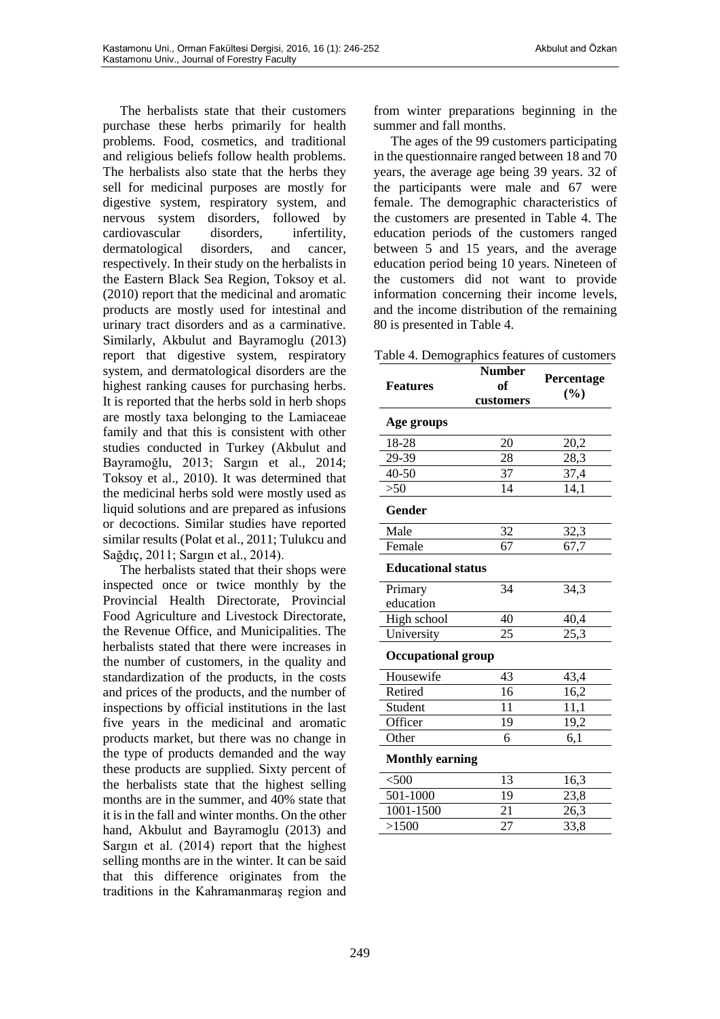The herbalists state that their customers purchase these herbs primarily for health problems. Food, cosmetics, and traditional and religious beliefs follow health problems. The herbalists also state that the herbs they sell for medicinal purposes are mostly for digestive system, respiratory system, and nervous system disorders, followed by cardiovascular disorders, infertility, dermatological disorders, and cancer, respectively. In their study on the herbalists in the Eastern Black Sea Region, Toksoy et al. (2010) report that the medicinal and aromatic products are mostly used for intestinal and urinary tract disorders and as a carminative. Similarly, Akbulut and Bayramoglu (2013) report that digestive system, respiratory system, and dermatological disorders are the highest ranking causes for purchasing herbs. It is reported that the herbs sold in herb shops are mostly taxa belonging to the Lamiaceae family and that this is consistent with other studies conducted in Turkey (Akbulut and Bayramoğlu, 2013; Sargın et al., 2014; Toksoy et al., 2010). It was determined that the medicinal herbs sold were mostly used as liquid solutions and are prepared as infusions or decoctions. Similar studies have reported similar results (Polat et al., 2011; Tulukcu and

Sağdıç, 2011; Sargın et al., 2014). The herbalists stated that their shops were inspected once or twice monthly by the Provincial Health Directorate, Provincial Food Agriculture and Livestock Directorate, the Revenue Office, and Municipalities. The herbalists stated that there were increases in the number of customers, in the quality and standardization of the products, in the costs and prices of the products, and the number of inspections by official institutions in the last five years in the medicinal and aromatic products market, but there was no change in the type of products demanded and the way these products are supplied. Sixty percent of the herbalists state that the highest selling months are in the summer, and 40% state that it is in the fall and winter months. On the other hand, Akbulut and Bayramoglu (2013) and Sargın et al. (2014) report that the highest selling months are in the winter. It can be said that this difference originates from the traditions in the Kahramanmaraş region and from winter preparations beginning in the summer and fall months.

The ages of the 99 customers participating in the questionnaire ranged between 18 and 70 years, the average age being 39 years. 32 of the participants were male and 67 were female. The demographic characteristics of the customers are presented in Table 4. The education periods of the customers ranged between 5 and 15 years, and the average education period being 10 years. Nineteen of the customers did not want to provide information concerning their income levels, and the income distribution of the remaining 80 is presented in Table 4.

Table 4. Demographics features of customers

| <b>Features</b>           | <b>Number</b><br>of | Percentage<br>(%) |  |  |
|---------------------------|---------------------|-------------------|--|--|
|                           | customers           |                   |  |  |
| Age groups                |                     |                   |  |  |
| 18-28                     | 20                  | 20,2              |  |  |
| 29-39                     | 28                  | 28,3              |  |  |
| $40 - 50$                 | 37                  | 37,4              |  |  |
| >50                       | 14                  | 14,1              |  |  |
| Gender                    |                     |                   |  |  |
| Male                      | 32                  | 32,3              |  |  |
| Female                    | 67                  | 67,7              |  |  |
| <b>Educational status</b> |                     |                   |  |  |
| Primary                   | 34                  | 34,3              |  |  |
| education                 |                     |                   |  |  |
| High school               | 40                  | 40,4              |  |  |
| University                | $\overline{25}$     | 25,3              |  |  |
| <b>Occupational group</b> |                     |                   |  |  |
| Housewife                 | 43                  | 43,4              |  |  |
| Retired                   | 16                  | 16,2              |  |  |
| Student                   | 11                  | 11,1              |  |  |
| Officer                   | 19                  | 19,2              |  |  |
| Other                     | 6                   | 6,1               |  |  |
| <b>Monthly earning</b>    |                     |                   |  |  |
| $<$ 500                   | 13                  | 16,3              |  |  |
| 501-1000                  | 19                  | 23,8              |  |  |
| 1001-1500                 | 21                  | 26,3              |  |  |
| >1500                     | 27                  | 33,8              |  |  |
|                           |                     |                   |  |  |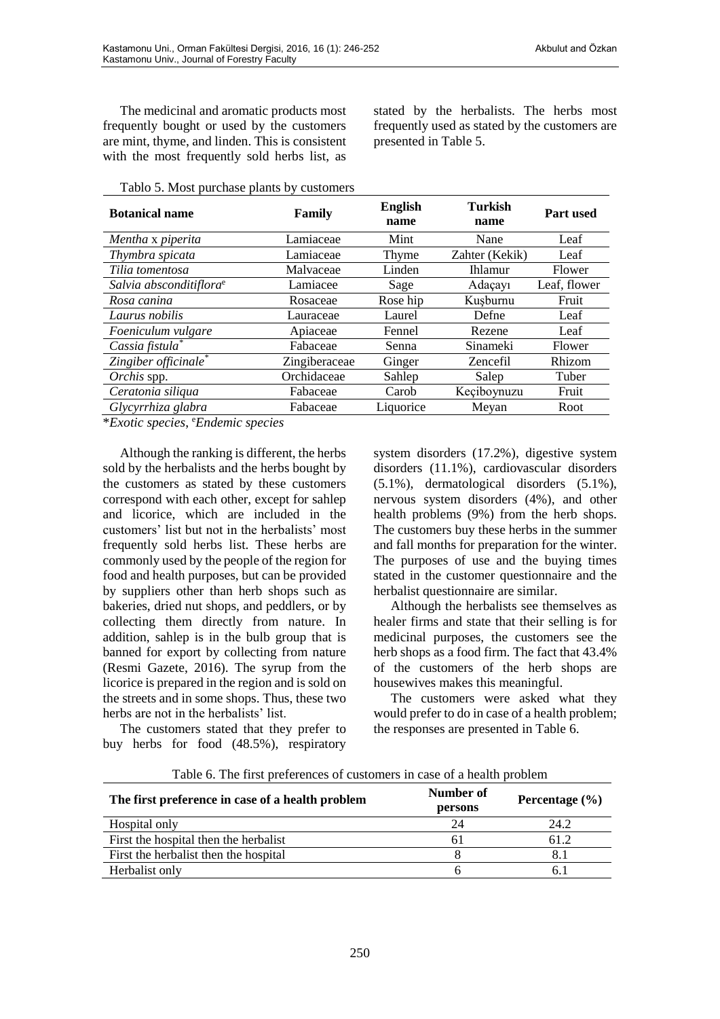The medicinal and aromatic products most frequently bought or used by the customers are mint, thyme, and linden. This is consistent with the most frequently sold herbs list, as

Tablo 5. Most purchase plants by customers

| <b>Botanical name</b>               | Family        | <b>English</b><br>name | <b>Turkish</b><br>name | Part used    |
|-------------------------------------|---------------|------------------------|------------------------|--------------|
| Mentha x piperita                   | Lamiaceae     | Mint                   | Nane                   | Leaf         |
| Thymbra spicata                     | Lamiaceae     | Thyme                  | Zahter (Kekik)         | Leaf         |
| Tilia tomentosa                     | Malvaceae     | Linden                 | <b>Ihlamur</b>         | Flower       |
| Salvia absconditiflora <sup>e</sup> | Lamiacee      | Sage                   | Adaçayı                | Leaf, flower |
| Rosa canina                         | Rosaceae      | Rose hip               | Kusburnu               | Fruit        |
| Laurus nobilis                      | Lauraceae     | Laurel                 | Defne                  | Leaf         |
| Foeniculum vulgare                  | Apiaceae      | Fennel                 | Rezene                 | Leaf         |
| Cassia fistula*                     | Fabaceae      | Senna                  | Sinameki               | Flower       |
| Zingiber officinale*                | Zingiberaceae | Ginger                 | <b>Zencefil</b>        | Rhizom       |
| Orchis spp.                         | Orchidaceae   | Sahlep                 | Salep                  | Tuber        |
| Ceratonia siliqua                   | Fabaceae      | Carob                  | Keçiboynuzu            | Fruit        |
| Glycyrrhiza glabra                  | Fabaceae      | Liquorice              | Meyan                  | Root         |

\**Exotic species*, <sup>e</sup>*Endemic species*

Although the ranking is different, the herbs sold by the herbalists and the herbs bought by the customers as stated by these customers correspond with each other, except for sahlep and licorice, which are included in the customers' list but not in the herbalists' most frequently sold herbs list. These herbs are commonly used by the people of the region for food and health purposes, but can be provided by suppliers other than herb shops such as bakeries, dried nut shops, and peddlers, or by collecting them directly from nature. In addition, sahlep is in the bulb group that is banned for export by collecting from nature (Resmi Gazete, 2016). The syrup from the licorice is prepared in the region and is sold on the streets and in some shops. Thus, these two herbs are not in the herbalists' list.

The customers stated that they prefer to buy herbs for food (48.5%), respiratory

system disorders (17.2%), digestive system disorders (11.1%), cardiovascular disorders (5.1%), dermatological disorders (5.1%), nervous system disorders (4%), and other health problems (9%) from the herb shops. The customers buy these herbs in the summer and fall months for preparation for the winter. The purposes of use and the buying times stated in the customer questionnaire and the herbalist questionnaire are similar.

stated by the herbalists. The herbs most frequently used as stated by the customers are

presented in Table 5.

Although the herbalists see themselves as healer firms and state that their selling is for medicinal purposes, the customers see the herb shops as a food firm. The fact that 43.4% of the customers of the herb shops are housewives makes this meaningful.

The customers were asked what they would prefer to do in case of a health problem; the responses are presented in Table 6.

| The first preference in case of a health problem | Number of<br>persons | Percentage $(\% )$ |
|--------------------------------------------------|----------------------|--------------------|
| Hospital only                                    | 24                   | 24.2               |
| First the hospital then the herbalist            | 6 I                  | 61.2               |
| First the herbalist then the hospital            |                      |                    |
| Herbalist only                                   |                      |                    |

Table 6. The first preferences of customers in case of a health problem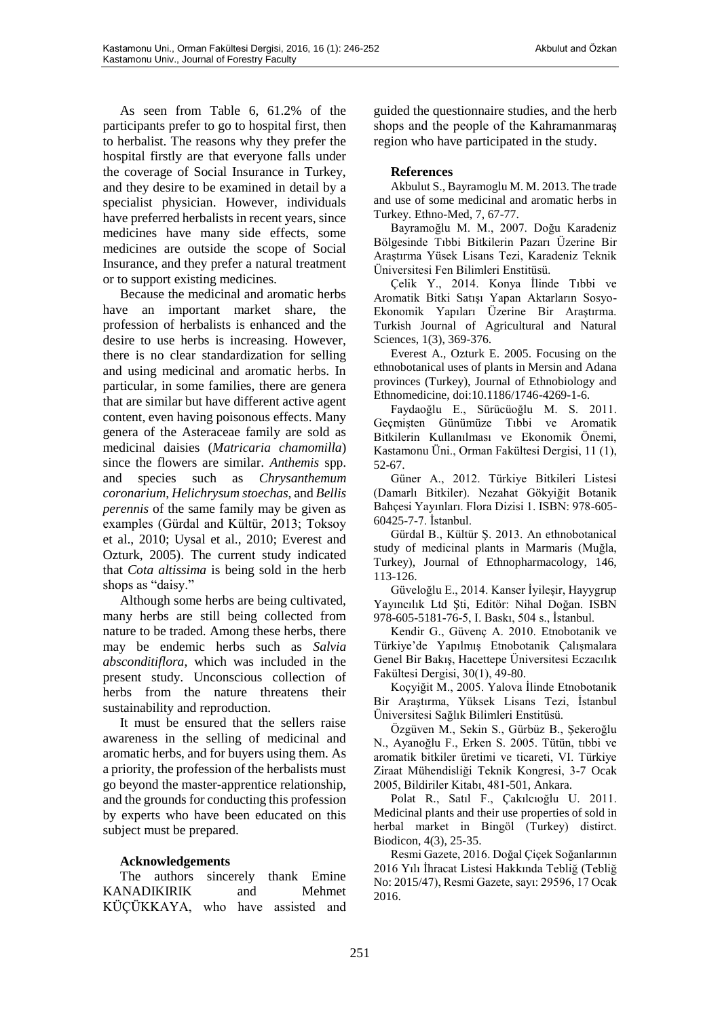As seen from Table 6, 61.2% of the participants prefer to go to hospital first, then to herbalist. The reasons why they prefer the hospital firstly are that everyone falls under the coverage of Social Insurance in Turkey, and they desire to be examined in detail by a specialist physician. However, individuals have preferred herbalists in recent years, since medicines have many side effects, some medicines are outside the scope of Social Insurance, and they prefer a natural treatment or to support existing medicines.

Because the medicinal and aromatic herbs have an important market share, the profession of herbalists is enhanced and the desire to use herbs is increasing. However, there is no clear standardization for selling and using medicinal and aromatic herbs. In particular, in some families, there are genera that are similar but have different active agent content, even having poisonous effects. Many genera of the Asteraceae family are sold as medicinal daisies (*Matricaria chamomilla*) since the flowers are similar. *Anthemis* spp. and species such as *Chrysanthemum coronarium*, *Helichrysum stoechas*, and *Bellis perennis* of the same family may be given as examples (Gürdal and Kültür, 2013; Toksoy et al., 2010; Uysal et al., 2010; Everest and Ozturk, 2005). The current study indicated that *Cota altissima* is being sold in the herb shops as "daisy."

Although some herbs are being cultivated, many herbs are still being collected from nature to be traded. Among these herbs, there may be endemic herbs such as *Salvia absconditiflora*, which was included in the present study. Unconscious collection of herbs from the nature threatens their sustainability and reproduction.

It must be ensured that the sellers raise awareness in the selling of medicinal and aromatic herbs, and for buyers using them. As a priority, the profession of the herbalists must go beyond the master-apprentice relationship, and the grounds for conducting this profession by experts who have been educated on this subject must be prepared.

## **Acknowledgements**

The authors sincerely thank Emine KANADIKIRIK and Mehmet KÜÇÜKKAYA, who have assisted and

guided the questionnaire studies, and the herb shops and the people of the Kahramanmaraş region who have participated in the study.

## **References**

Akbulut S., Bayramoglu M. M. 2013. The trade and use of some medicinal and aromatic herbs in Turkey. Ethno-Med, 7, 67-77.

Bayramoğlu M. M., 2007. Doğu Karadeniz Bölgesinde Tıbbi Bitkilerin Pazarı Üzerine Bir Araştırma Yüsek Lisans Tezi, Karadeniz Teknik Üniversitesi Fen Bilimleri Enstitüsü.

Çelik Y., 2014. Konya İlinde Tıbbi ve Aromatik Bitki Satışı Yapan Aktarların Sosyo-Ekonomik Yapıları Üzerine Bir Araştırma. Turkish Journal of Agricultural and Natural Sciences, 1(3), 369-376.

Everest A., Ozturk E. 2005. Focusing on the ethnobotanical uses of plants in Mersin and Adana provinces (Turkey), Journal of Ethnobiology and Ethnomedicine, doi:10.1186/1746-4269-1-6.

Faydaoğlu E., Sürücüoğlu M. S. 2011. Geçmişten Günümüze Tıbbi ve Aromatik Bitkilerin Kullanılması ve Ekonomik Önemi, Kastamonu Üni., Orman Fakültesi Dergisi, 11 (1), 52-67.

Güner A., 2012. Türkiye Bitkileri Listesi (Damarlı Bitkiler). Nezahat Gökyiğit Botanik Bahçesi Yayınları. Flora Dizisi 1. ISBN: 978-605- 60425-7-7. İstanbul.

Gürdal B., Kültür Ş. 2013. An ethnobotanical study of medicinal plants in Marmaris (Muğla, Turkey), Journal of Ethnopharmacology, 146, 113-126.

Güveloğlu E., 2014. Kanser İyileşir, Hayygrup Yayıncılık Ltd Şti, Editör: Nihal Doğan. ISBN 978-605-5181-76-5, I. Baskı, 504 s., İstanbul.

Kendir G., Güvenç A. 2010. Etnobotanik ve Türkiye'de Yapılmış Etnobotanik Çalışmalara Genel Bir Bakış, Hacettepe Üniversitesi Eczacılık Fakültesi Dergisi, 30(1), 49-80.

Koçyiğit M., 2005. Yalova İlinde Etnobotanik Bir Araştırma, Yüksek Lisans Tezi, İstanbul Üniversitesi Sağlık Bilimleri Enstitüsü.

Özgüven M., Sekin S., Gürbüz B., Şekeroğlu N., Ayanoğlu F., Erken S. 2005. Tütün, tıbbi ve aromatik bitkiler üretimi ve ticareti, VI. Türkiye Ziraat Mühendisliği Teknik Kongresi, 3-7 Ocak 2005, Bildiriler Kitabı, 481-501, Ankara.

Polat R., Satıl F., Çakılcıoğlu U. 2011. Medicinal plants and their use properties of sold in herbal market in Bingöl (Turkey) distirct. Biodicon, 4(3), 25-35.

Resmi Gazete, 2016. Doğal Çiçek Soğanlarının 2016 Yılı İhracat Listesi Hakkında Tebliğ (Tebliğ No: 2015/47), Resmi Gazete, sayı: 29596, 17 Ocak 2016.